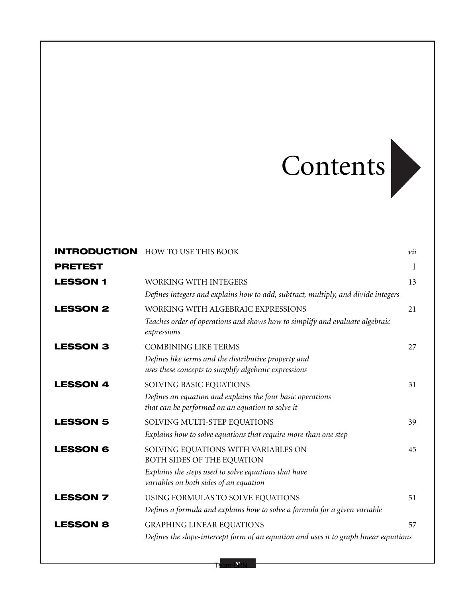## Contents



|                 | <b>INTRODUCTION</b> HOW TO USE THIS BOOK                                                                       | vii |
|-----------------|----------------------------------------------------------------------------------------------------------------|-----|
| <b>PRETEST</b>  |                                                                                                                | 1   |
| <b>LESSON 1</b> | WORKING WITH INTEGERS                                                                                          | 13  |
|                 | Defines integers and explains how to add, subtract, multiply, and divide integers                              |     |
| <b>LESSON 2</b> | WORKING WITH ALGEBRAIC EXPRESSIONS                                                                             | 21  |
|                 | Teaches order of operations and shows how to simplify and evaluate algebraic<br>expressions                    |     |
| <b>LESSON 3</b> | <b>COMBINING LIKE TERMS</b>                                                                                    | 27  |
|                 | Defines like terms and the distributive property and<br>uses these concepts to simplify algebraic expressions  |     |
| <b>LESSON 4</b> | SOLVING BASIC EQUATIONS                                                                                        | 31  |
|                 | Defines an equation and explains the four basic operations<br>that can be performed on an equation to solve it |     |
| <b>LESSON 5</b> | SOLVING MULTI-STEP EQUATIONS                                                                                   | 39  |
|                 | Explains how to solve equations that require more than one step                                                |     |
| <b>LESSON 6</b> | SOLVING EQUATIONS WITH VARIABLES ON<br>BOTH SIDES OF THE EQUATION                                              | 45  |
|                 | Explains the steps used to solve equations that have<br>variables on both sides of an equation                 |     |
| <b>LESSON 7</b> | USING FORMULAS TO SOLVE EQUATIONS                                                                              | 51  |
|                 | Defines a formula and explains how to solve a formula for a given variable                                     |     |
| <b>LESSON 8</b> | <b>GRAPHING LINEAR EQUATIONS</b>                                                                               | 57  |
|                 | Defines the slope-intercept form of an equation and uses it to graph linear equations                          |     |